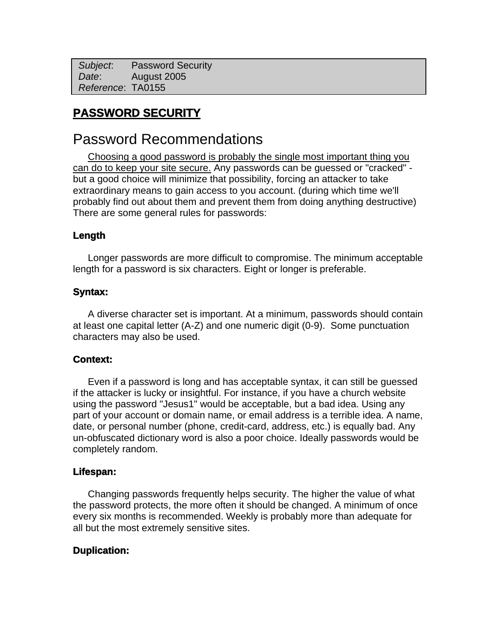*Subject*: Password Security  *Date*: August 2005 *Reference*: TA0155

## **PASSWORD SECURITY**

## Password Recommendations

Choosing a good password is probably the single most important thing you can do to keep your site secure. Any passwords can be guessed or "cracked" but a good choice will minimize that possibility, forcing an attacker to take extraordinary means to gain access to you account. (during which time we'll probably find out about them and prevent them from doing anything destructive) There are some general rules for passwords:

## **Length**

Longer passwords are more difficult to compromise. The minimum acceptable length for a password is six characters. Eight or longer is preferable.

### **Syntax:**

A diverse character set is important. At a minimum, passwords should contain at least one capital letter (A-Z) and one numeric digit (0-9). Some punctuation characters may also be used.

### **Context:**

Even if a password is long and has acceptable syntax, it can still be guessed if the attacker is lucky or insightful. For instance, if you have a church website using the password "Jesus1" would be acceptable, but a bad idea. Using any part of your account or domain name, or email address is a terrible idea. A name, date, or personal number (phone, credit-card, address, etc.) is equally bad. Any un-obfuscated dictionary word is also a poor choice. Ideally passwords would be completely random.

### **Lifespan:**

Changing passwords frequently helps security. The higher the value of what the password protects, the more often it should be changed. A minimum of once every six months is recommended. Weekly is probably more than adequate for all but the most extremely sensitive sites.

### **Duplication:**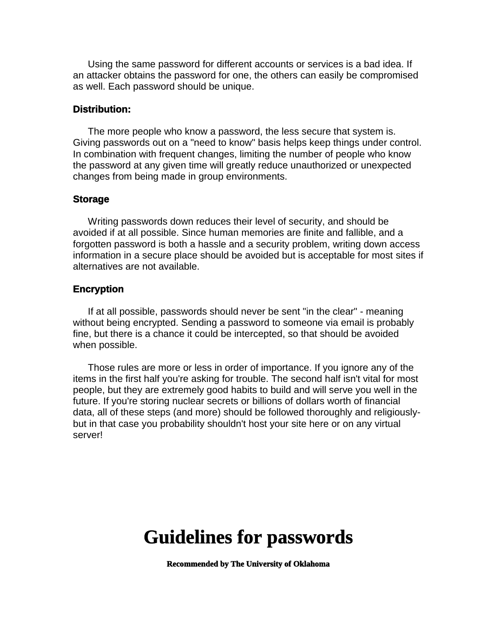Using the same password for different accounts or services is a bad idea. If an attacker obtains the password for one, the others can easily be compromised as well. Each password should be unique.

#### **Distribution:**

The more people who know a password, the less secure that system is. Giving passwords out on a "need to know" basis helps keep things under control. In combination with frequent changes, limiting the number of people who know the password at any given time will greatly reduce unauthorized or unexpected changes from being made in group environments.

#### **Storage**

Writing passwords down reduces their level of security, and should be avoided if at all possible. Since human memories are finite and fallible, and a forgotten password is both a hassle and a security problem, writing down access information in a secure place should be avoided but is acceptable for most sites if alternatives are not available.

#### **Encryption**

If at all possible, passwords should never be sent "in the clear" - meaning without being encrypted. Sending a password to someone via email is probably fine, but there is a chance it could be intercepted, so that should be avoided when possible.

Those rules are more or less in order of importance. If you ignore any of the items in the first half you're asking for trouble. The second half isn't vital for most people, but they are extremely good habits to build and will serve you well in the future. If you're storing nuclear secrets or billions of dollars worth of financial data, all of these steps (and more) should be followed thoroughly and religiouslybut in that case you probability shouldn't host your site here or on any virtual server!

# **Guidelines for passwords**

**Recommended by The University of Oklahoma**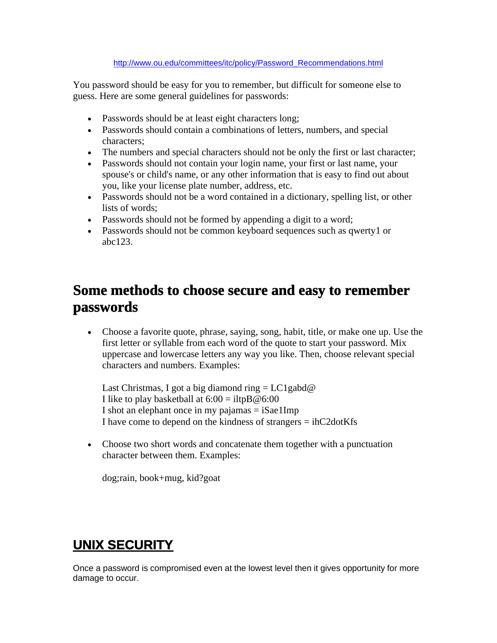#### http://www.ou.edu/committees/itc/policy/Password\_Recommendations.html

You password should be easy for you to remember, but difficult for someone else to guess. Here are some general guidelines for passwords:

- Passwords should be at least eight characters long;
- Passwords should contain a combinations of letters, numbers, and special characters;
- The numbers and special characters should not be only the first or last character;
- Passwords should not contain your login name, your first or last name, your spouse's or child's name, or any other information that is easy to find out about you, like your license plate number, address, etc.
- Passwords should not be a word contained in a dictionary, spelling list, or other lists of words;
- Passwords should not be formed by appending a digit to a word;
- Passwords should not be common keyboard sequences such as qwerty1 or abc123.

## **Some methods to choose secure and easy to remember passwords**

 Choose a favorite quote, phrase, saying, song, habit, title, or make one up. Use the first letter or syllable from each word of the quote to start your password. Mix uppercase and lowercase letters any way you like. Then, choose relevant special characters and numbers. Examples:

Last Christmas, I got a big diamond ring  $= LC1$ gabd $@$ I like to play basketball at  $6:00 =$ iltpB $@6:00$ I shot an elephant once in my pajamas  $=$  iSae1Imp I have come to depend on the kindness of strangers = ihC2dotKfs

 Choose two short words and concatenate them together with a punctuation character between them. Examples:

dog;rain, book+mug, kid?goat

## **UNIX SECURITY**

Once a password is compromised even at the lowest level then it gives opportunity for more damage to occur.